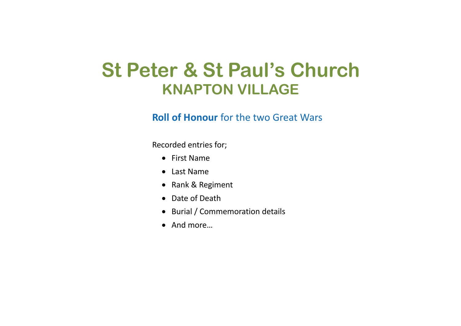## **St Peter & St Paul's Church KNAPTON VILLAGE**

## **Roll of Honour** for the two Great Wars

Recorded entries for;

- First Name
- Last Name
- Rank & Regiment
- Date of Death
- Burial / Commemoration details
- And more…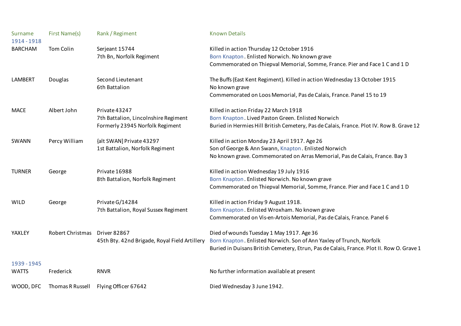| Surname<br>1914 - 1918 | First Name(s)    | Rank / Regiment                               | <b>Known Details</b>                                                                      |
|------------------------|------------------|-----------------------------------------------|-------------------------------------------------------------------------------------------|
| <b>BARCHAM</b>         | Tom Colin        | Serjeant 15744                                | Killed in action Thursday 12 October 1916                                                 |
|                        |                  | 7th Bn, Norfolk Regiment                      | Born Knapton. Enlisted Norwich. No known grave                                            |
|                        |                  |                                               | Commemorated on Thiepval Memorial, Somme, France. Pier and Face 1 C and 1 D               |
| <b>LAMBERT</b>         | Douglas          | Second Lieutenant                             | The Buffs (East Kent Regiment). Killed in action Wednesday 13 October 1915                |
|                        |                  | 6th Battalion                                 | No known grave                                                                            |
|                        |                  |                                               | Commemorated on Loos Memorial, Pas de Calais, France. Panel 15 to 19                      |
| <b>MACE</b>            | Albert John      | Private 43247                                 | Killed in action Friday 22 March 1918                                                     |
|                        |                  | 7th Battalion, Lincolnshire Regiment          | Born Knapton. Lived Paston Green. Enlisted Norwich                                        |
|                        |                  | Formerly 23945 Norfolk Regiment               | Buried in Hermies Hill British Cemetery, Pas de Calais, France. Plot IV. Row B. Grave 12  |
| SWANN                  | Percy William    | {alt SWAN] Private 43297                      | Killed in action Monday 23 April 1917. Age 26                                             |
|                        |                  | 1st Battalion, Norfolk Regiment               | Son of George & Ann Swann, Knapton. Enlisted Norwich                                      |
|                        |                  |                                               | No known grave. Commemorated on Arras Memorial, Pas de Calais, France. Bay 3              |
| <b>TURNER</b>          | George           | Private 16988                                 | Killed in action Wednesday 19 July 1916                                                   |
|                        |                  | 8th Battalion, Norfolk Regiment               | Born Knapton. Enlisted Norwich. No known grave                                            |
|                        |                  |                                               | Commemorated on Thiepval Memorial, Somme, France. Pier and Face 1 C and 1 D               |
| <b>WILD</b>            | George           | Private G/14284                               | Killed in action Friday 9 August 1918.                                                    |
|                        |                  | 7th Battalion, Royal Sussex Regiment          | Born Knapton. Enlisted Wroxham. No known grave                                            |
|                        |                  |                                               | Commemorated on Vis-en-Artois Memorial, Pas de Calais, France. Panel 6                    |
| YAXLEY                 | Robert Christmas | <b>Driver 82867</b>                           | Died of wounds Tuesday 1 May 1917. Age 36                                                 |
|                        |                  | 45th Bty. 42nd Brigade, Royal Field Artillery | Born Knapton. Enlisted Norwich. Son of Ann Yaxley of Trunch, Norfolk                      |
|                        |                  |                                               | Buried in Duisans British Cemetery, Etrun, Pas de Calais, France. Plot II. Row O. Grave 1 |
| 1939 - 1945            |                  |                                               |                                                                                           |
| <b>WATTS</b>           | Frederick        | <b>RNVR</b>                                   | No further information available at present                                               |
|                        |                  |                                               |                                                                                           |
| WOOD, DFC              | Thomas R Russell | Flying Officer 67642                          | Died Wednesday 3 June 1942.                                                               |